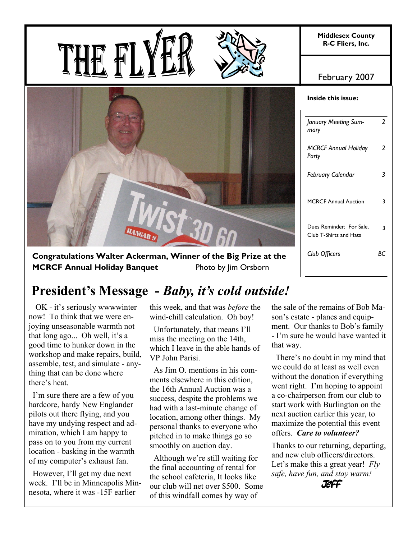**Middlesex County R-C Fliers, Inc.** 



February 2007

| January Meeting Sum-<br>mary                       | 2  |
|----------------------------------------------------|----|
| <b>MCRCF Annual Holiday</b><br>Party               | 2  |
| February Calendar                                  | 3  |
| <b>MCRCF Annual Auction</b>                        | 3  |
| Dues Reminder; For Sale,<br>Club T-Shirts and Hats | 3  |
| Club Officers                                      | BС |
|                                                    |    |

**Congratulations Walter Ackerman, Winner of the Big Prize at the MCRCF Annual Holiday Banquet** Photo by Jim Orsborn

# **President's Message -** *Baby, it's cold outside!*

 OK - it's seriously wwwwinter now! To think that we were enjoying unseasonable warmth not that long ago... Oh well, it's a good time to hunker down in the workshop and make repairs, build, assemble, test, and simulate - anything that can be done where there's heat.

 I'm sure there are a few of you hardcore, hardy New Englander pilots out there flying, and you have my undying respect and admiration, which I am happy to pass on to you from my current location - basking in the warmth of my computer's exhaust fan.

 However, I'll get my due next week. I'll be in Minneapolis Minnesota, where it was -15F earlier

this week, and that was *before* the wind-chill calculation. Oh boy!

 Unfortunately, that means I'll miss the meeting on the 14th, which I leave in the able hands of VP John Parisi.

 As Jim O. mentions in his comments elsewhere in this edition the 16th Annual Auction was a success, despite the problems we had with a last-minute change of location, among other things. My personal thanks to everyone who pitched in to make things go so smoothly on auction day.

 Although we're still waiting for the final accounting of rental for the school cafeteria, It looks like our club will net over \$500. Some of this windfall comes by way of

the sale of the remains of Bob Mason's estate - planes and equipment. Our thanks to Bob's family - I'm sure he would have wanted it that way.

 There's no doubt in my mind that we could do at least as well even without the donation if everything went right. I'm hoping to appoint a co-chairperson from our club to start work with Burlington on the next auction earlier this year, to maximize the potential this event offers. *Care to volunteer?* 

Thanks to our returning, departing, and new club officers/directors. Let's make this a great year! *Fly safe, have fun, and stay warm!*

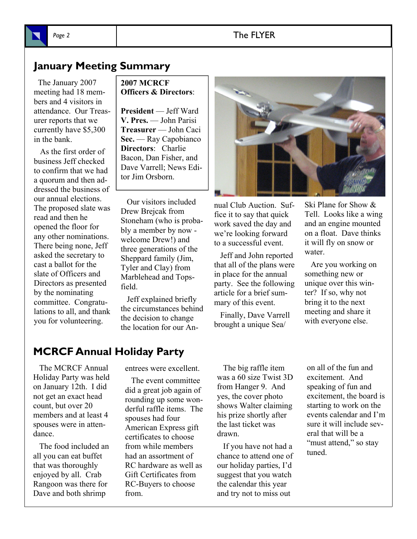## Page 2 and 2 and 2 and 2 and 2 and 2 and 2 and 2 and 2 and 2 and 2 and 2 and 2 and 2 and 2 and 2 and 2 and 2 and 2 and 2 and 2 and 2 and 2 and 2 and 2 and 2 and 2 and 2 and 2 and 2 and 2 and 2 and 2 and 2 and 2 and 2 and 2

## **January Meeting Summary**

 The January 2007 meeting had 18 members and 4 visitors in attendance. Our Treasurer reports that we currently have \$5,300 in the bank.

 As the first order of business Jeff checked to confirm that we had a quorum and then addressed the business of our annual elections. The proposed slate was read and then he opened the floor for any other nominations. There being none, Jeff asked the secretary to cast a ballot for the slate of Officers and Directors as presented by the nominating committee. Congratulations to all, and thank you for volunteering.

## **2007 MCRCF Officers & Directors**:

**President** — Jeff Ward **V. Pres.** — John Parisi **Treasurer** — John Caci **Sec.** — Ray Capobianco **Directors**: Charlie Bacon, Dan Fisher, and Dave Varrell; News Editor Jim Orsborn.

 Our visitors included Drew Brejcak from Stoneham (who is probably a member by now welcome Drew!) and three generations of the Sheppard family (Jim, Tyler and Clay) from Marblehead and Topsfield.

 Jeff explained briefly the circumstances behind the decision to change the location for our An-



nual Club Auction. Suffice it to say that quick work saved the day and we're looking forward to a successful event.

 Jeff and John reported that all of the plans were in place for the annual party. See the following article for a brief summary of this event.

 Finally, Dave Varrell brought a unique Sea/

Ski Plane for Show & Tell. Looks like a wing and an engine mounted on a float. Dave thinks it will fly on snow or water

 Are you working on something new or unique over this winter? If so, why not bring it to the next meeting and share it with everyone else.

## **MCRCF Annual Holiday Party**

 The MCRCF Annual Holiday Party was held on January 12th. I did not get an exact head count, but over 20 members and at least 4 spouses were in attendance.

 The food included an all you can eat buffet that was thoroughly enjoyed by all. Crab Rangoon was there for Dave and both shrimp

entrees were excellent.

 The event committee did a great job again of rounding up some wonderful raffle items. The spouses had four American Express gift certificates to choose from while members had an assortment of RC hardware as well as Gift Certificates from RC-Buyers to choose from.

 The big raffle item was a 60 size Twist 3D from Hanger 9. And yes, the cover photo shows Walter claiming his prize shortly after the last ticket was drawn.

 If you have not had a chance to attend one of our holiday parties, I'd suggest that you watch the calendar this year and try not to miss out

on all of the fun and excitement. And speaking of fun and excitement, the board is starting to work on the events calendar and I'm sure it will include several that will be a "must attend," so stay tuned.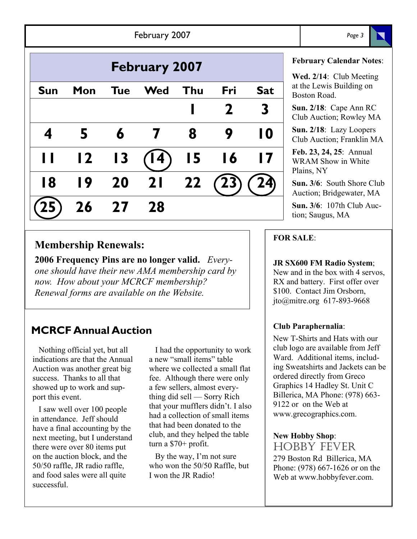|                      |                         |            | February 2007 |     |     |                 | Page 3                                                          |
|----------------------|-------------------------|------------|---------------|-----|-----|-----------------|-----------------------------------------------------------------|
| <b>February 2007</b> |                         |            |               |     |     |                 | <b>February Calendar N</b><br>Wed. 2/14: Club Mee               |
| <b>Sun</b>           | Mon                     | <b>Tue</b> | <b>Wed</b>    | Thu | Fri | <b>Sat</b>      | at the Lewis Building<br>Boston Road.                           |
|                      |                         |            |               |     |     | 3               | Sun. $2/18$ : Cape Ann<br>Club Auction; Rowley                  |
|                      |                         |            |               | 8   | 9   | 10              | Sun. 2/18: Lazy Loop<br>Club Auction; Franklin                  |
|                      | $\overline{\mathbf{2}}$ | 13         |               | 15  | 16  | $\overline{17}$ | Feb. 23, 24, 25: Annu<br><b>WRAM Show in Whit</b><br>Plains, NY |
| 18                   | 19                      | 20         | 21            | 22  |     |                 | Sun. 3/6: South Shore<br>Auction; Bridgewater,                  |
|                      | 26                      | 27         | 28            |     |     |                 | <b>Sun. 3/6:</b> 107th Club<br>tion; Saugus, MA                 |

## **Membership Renewals:**

**2006 Frequency Pins are no longer valid.** *Everyone should have their new AMA membership card by now. How about your MCRCF membership? Renewal forms are available on the Website.* 

## **MCRCF Annual Auction**

 Nothing official yet, but all indications are that the Annual Auction was another great big success. Thanks to all that showed up to work and support this event.

 I saw well over 100 people in attendance. Jeff should have a final accounting by the next meeting, but I understand there were over 80 items put on the auction block, and the 50/50 raffle, JR radio raffle, and food sales were all quite successful.

 I had the opportunity to work a new "small items" table where we collected a small flat fee. Although there were only a few sellers, almost everything did sell — Sorry Rich that your mufflers didn't. I also had a collection of small items that had been donated to the club, and they helped the table turn a \$70+ profit.

 By the way, I'm not sure who won the 50/50 Raffle, but I won the JR Radio!

## **February Calendar Notes**:

**Wed. 2/14**: Club Meeting the Lewis Building on ston Road

**Sun. 2/18**: Cape Ann RC ub Auction; Rowley MA

n. 2/18: Lazy Loopers Club Auction; Franklin MA

**Feb. 23, 24, 25**: Annual RAM Show in White  $\overline{\text{ins}}$ , NY

**n. 3/6**: South Shore Club Auction; Bridgewater, MA

**Sun. 3/6**: 107th Club Aucn; Saugus, MA

## **FOR SALE**:

### **JR SX600 FM Radio System**;

New and in the box with 4 servos, RX and battery. First offer over \$100. Contact Jim Orsborn, jto@mitre.org 617-893-9668

## **Club Paraphernalia**:

New T-Shirts and Hats with our club logo are available from Jeff Ward. Additional items, including Sweatshirts and Jackets can be ordered directly from Greco Graphics 14 Hadley St. Unit C Billerica, MA Phone: (978) 663- 9122 or on the Web at www.grecographics.com.

### **New Hobby Shop**:

HOBBY FEVER 279 Boston Rd Billerica, MA Phone: (978) 667-1626 or on the Web at www.hobbyfever.com.